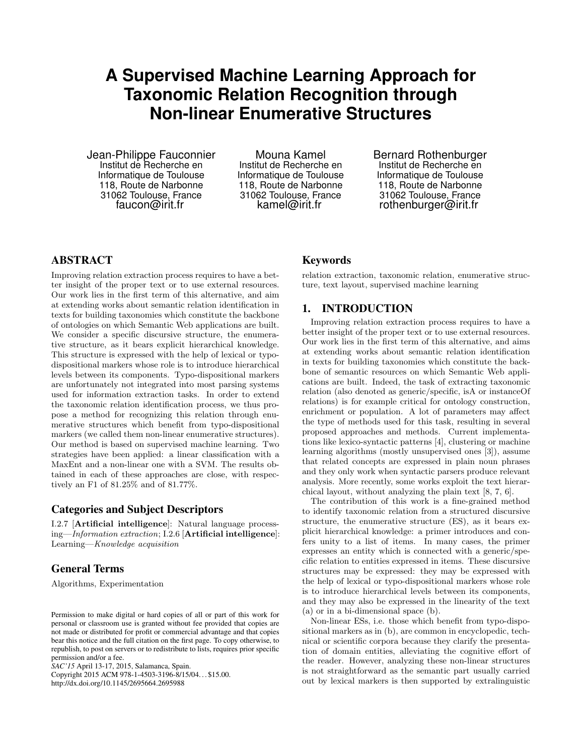# **A Supervised Machine Learning Approach for Taxonomic Relation Recognition through Non-linear Enumerative Structures**

Jean-Philippe Fauconnier Institut de Recherche en Informatique de Toulouse 118, Route de Narbonne 31062 Toulouse, France faucon@irit.fr

Mouna Kamel Institut de Recherche en Informatique de Toulouse 118, Route de Narbonne 31062 Toulouse, France kamel@irit.fr

Bernard Rothenburger Institut de Recherche en Informatique de Toulouse 118, Route de Narbonne 31062 Toulouse, France rothenburger@irit.fr

## ABSTRACT

Improving relation extraction process requires to have a better insight of the proper text or to use external resources. Our work lies in the first term of this alternative, and aim at extending works about semantic relation identification in texts for building taxonomies which constitute the backbone of ontologies on which Semantic Web applications are built. We consider a specific discursive structure, the enumerative structure, as it bears explicit hierarchical knowledge. This structure is expressed with the help of lexical or typodispositional markers whose role is to introduce hierarchical levels between its components. Typo-dispositional markers are unfortunately not integrated into most parsing systems used for information extraction tasks. In order to extend the taxonomic relation identification process, we thus propose a method for recognizing this relation through enumerative structures which benefit from typo-dispositional markers (we called them non-linear enumerative structures). Our method is based on supervised machine learning. Two strategies have been applied: a linear classification with a MaxEnt and a non-linear one with a SVM. The results obtained in each of these approaches are close, with respectively an F1 of 81.25% and of 81.77%.

#### Categories and Subject Descriptors

I.2.7 [Artificial intelligence]: Natural language processing—Information extraction; I.2.6 [Artificial intelligence]: Learning—Knowledge acquisition

## General Terms

Algorithms, Experimentation

*SAC'15* April 13-17, 2015, Salamanca, Spain.

Copyright 2015 ACM 978-1-4503-3196-8/15/04... \$15.00. http://dx.doi.org/10.1145/2695664.2695988

## Keywords

relation extraction, taxonomic relation, enumerative structure, text layout, supervised machine learning

## 1. INTRODUCTION

Improving relation extraction process requires to have a better insight of the proper text or to use external resources. Our work lies in the first term of this alternative, and aims at extending works about semantic relation identification in texts for building taxonomies which constitute the backbone of semantic resources on which Semantic Web applications are built. Indeed, the task of extracting taxonomic relation (also denoted as generic/specific, isA or instanceOf relations) is for example critical for ontology construction, enrichment or population. A lot of parameters may affect the type of methods used for this task, resulting in several proposed approaches and methods. Current implementations like lexico-syntactic patterns [\[4\]](#page-2-0), clustering or machine learning algorithms (mostly unsupervised ones [\[3\]](#page-2-1)), assume that related concepts are expressed in plain noun phrases and they only work when syntactic parsers produce relevant analysis. More recently, some works exploit the text hierarchical layout, without analyzing the plain text [\[8,](#page-2-2) [7,](#page-2-3) [6\]](#page-2-4).

The contribution of this work is a fine-grained method to identify taxonomic relation from a structured discursive structure, the enumerative structure (ES), as it bears explicit hierarchical knowledge: a primer introduces and confers unity to a list of items. In many cases, the primer expresses an entity which is connected with a generic/specific relation to entities expressed in items. These discursive structures may be expressed: they may be expressed with the help of lexical or typo-dispositional markers whose role is to introduce hierarchical levels between its components, and they may also be expressed in the linearity of the text (a) or in a bi-dimensional space (b).

Non-linear ESs, i.e. those which benefit from typo-dispositional markers as in (b), are common in encyclopedic, technical or scientific corpora because they clarify the presentation of domain entities, alleviating the cognitive effort of the reader. However, analyzing these non-linear structures is not straightforward as the semantic part usually carried out by lexical markers is then supported by extralinguistic

Permission to make digital or hard copies of all or part of this work for personal or classroom use is granted without fee provided that copies are not made or distributed for profit or commercial advantage and that copies bear this notice and the full citation on the first page. To copy otherwise, to republish, to post on servers or to redistribute to lists, requires prior specific permission and/or a fee.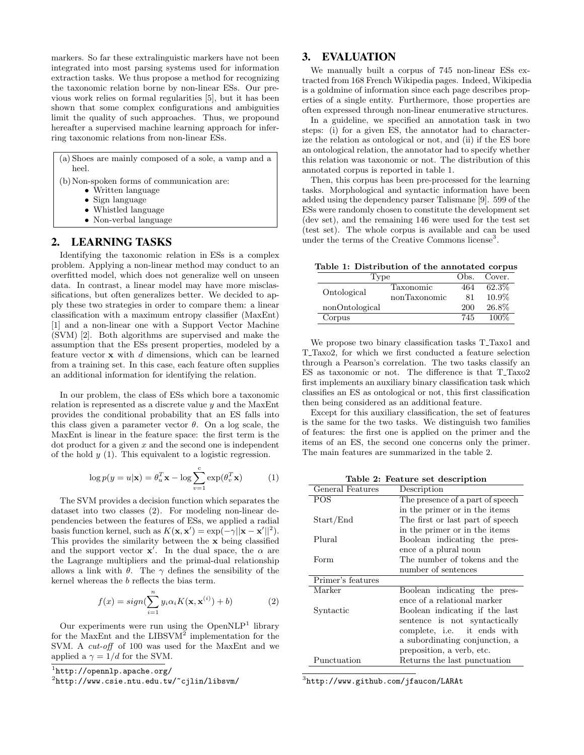markers. So far these extralinguistic markers have not been integrated into most parsing systems used for information extraction tasks. We thus propose a method for recognizing the taxonomic relation borne by non-linear ESs. Our previous work relies on formal regularities [\[5\]](#page-2-5), but it has been shown that some complex configurations and ambiguities limit the quality of such approaches. Thus, we propound hereafter a supervised machine learning approach for inferring taxonomic relations from non-linear ESs.

|       |  | (a) Shoes are mainly composed of a sole, a vamp and a |  |  |  |
|-------|--|-------------------------------------------------------|--|--|--|
| heel. |  |                                                       |  |  |  |
|       |  | $(h)$ N on anoton formed of communication and         |  |  |  |

- (b)Non-spoken forms of communication are:
	- Written language
	- Sign language
	- Whistled language
	- Non-verbal language

## 2. LEARNING TASKS

Identifying the taxonomic relation in ESs is a complex problem. Applying a non-linear method may conduct to an overfitted model, which does not generalize well on unseen data. In contrast, a linear model may have more misclassifications, but often generalizes better. We decided to apply these two strategies in order to compare them: a linear classification with a maximum entropy classifier (MaxEnt) [\[1\]](#page-2-6) and a non-linear one with a Support Vector Machine (SVM) [\[2\]](#page-2-7). Both algorithms are supervised and make the assumption that the ESs present properties, modeled by a feature vector  $x$  with  $d$  dimensions, which can be learned from a training set. In this case, each feature often supplies an additional information for identifying the relation.

In our problem, the class of ESs which bore a taxonomic relation is represented as a discrete value y and the MaxEnt provides the conditional probability that an ES falls into this class given a parameter vector  $\theta$ . On a log scale, the MaxEnt is linear in the feature space: the first term is the  $dot$  product for a given  $x$  and the second one is independent of the hold  $y(1)$ . This equivalent to a logistic regression.

$$
\log p(y = u|\mathbf{x}) = \theta_u^T \mathbf{x} - \log \sum_{v=1}^c \exp(\theta_v^T \mathbf{x})
$$
 (1)

The SVM provides a decision function which separates the dataset into two classes [\(2\)](#page-1-0). For modeling non-linear dependencies between the features of ESs, we applied a radial basis function kernel, such as  $K(\mathbf{x}, \mathbf{x}') = \exp(-\gamma ||\mathbf{x} - \mathbf{x}'||^2)$ . This provides the similarity between the x being classified and the support vector  $\mathbf{x}'$ . In the dual space, the  $\alpha$  are the Lagrange multipliers and the primal-dual relationship allows a link with  $\theta$ . The  $\gamma$  defines the sensibility of the kernel whereas the b reflects the bias term.

<span id="page-1-0"></span>
$$
f(x) = sign(\sum_{i=1}^{n} y_i \alpha_i K(\mathbf{x}, \mathbf{x}^{(i)}) + b)
$$
 (2)

Our experiments were run using the  $OpenNLP<sup>1</sup>$  $OpenNLP<sup>1</sup>$  $OpenNLP<sup>1</sup>$  library for the MaxEnt and the LIBSV $M^2$  $M^2$  implementation for the SVM. A cut-off of 100 was used for the MaxEnt and we applied a  $\gamma = 1/d$  for the SVM.

#### 3. EVALUATION

We manually built a corpus of 745 non-linear ESs extracted from 168 French Wikipedia pages. Indeed, Wikipedia is a goldmine of information since each page describes properties of a single entity. Furthermore, those properties are often expressed through non-linear enumerative structures.

In a guideline, we specified an annotation task in two steps: (i) for a given ES, the annotator had to characterize the relation as ontological or not, and (ii) if the ES bore an ontological relation, the annotator had to specify whether this relation was taxonomic or not. The distribution of this annotated corpus is reported in table [1.](#page-1-3)

Then, this corpus has been pre-processed for the learning tasks. Morphological and syntactic information have been added using the dependency parser Talismane [\[9\]](#page-2-8). 599 of the ESs were randomly chosen to constitute the development set (dev set), and the remaining 146 were used for the test set (test set). The whole corpus is available and can be used under the terms of the Creative Commons license<sup>[3](#page-1-4)</sup>.

Table 1: Distribution of the annotated corpus

<span id="page-1-3"></span>

| l'ype          |              | Obs. | Cover. |
|----------------|--------------|------|--------|
| Ontological    | Taxonomic    | 464  | 62.3%  |
|                | nonTaxonomic | 81   | 10.9%  |
| nonOntological |              | 200  | 26.8%  |
| Corpus         |              | 745  | 100%   |

We propose two binary classification tasks T\_Taxo1 and T\_Taxo2, for which we first conducted a feature selection through a Pearson's correlation. The two tasks classify an ES as taxonomic or not. The difference is that T\_Taxo2 first implements an auxiliary binary classification task which classifies an ES as ontological or not, this first classification then being considered as an additional feature.

Except for this auxiliary classification, the set of features is the same for the two tasks. We distinguish two families of features: the first one is applied on the primer and the items of an ES, the second one concerns only the primer. The main features are summarized in the table [2.](#page-1-5)

<span id="page-1-5"></span>Table 2: Feature set description

| General Features  | Description                      |
|-------------------|----------------------------------|
| POS               | The presence of a part of speech |
|                   | in the primer or in the items    |
| Start/End         | The first or last part of speech |
|                   | in the primer or in the items    |
| Plural            | Boolean indicating the pres-     |
|                   | ence of a plural noun            |
| Form              | The number of tokens and the     |
|                   | number of sentences              |
| Primer's features |                                  |
| Marker            | Boolean indicating the pres-     |
|                   | ence of a relational marker      |
| Syntactic         | Boolean indicating if the last   |
|                   | sentence is not syntactically    |
|                   | complete, i.e. it ends with      |
|                   | a subordinating conjunction, a   |
|                   | preposition, a verb, etc.        |
| Punctuation       | Returns the last punctuation     |

<span id="page-1-4"></span> $^3$ <http://www.github.com/jfaucon/LARAt>

<span id="page-1-1"></span><sup>1</sup> <http://opennlp.apache.org/>

<span id="page-1-2"></span> $^{2}$ <http://www.csie.ntu.edu.tw/~cjlin/libsvm/>